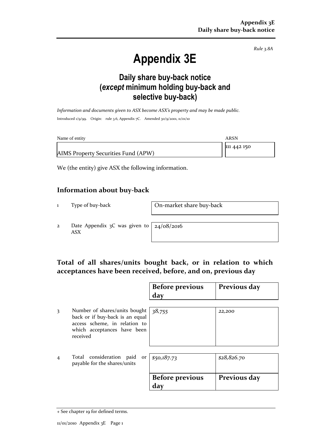*Rule 3.8A*

# **Appendix 3E**

### **Daily share buy-back notice (***except* **minimum holding buy-back and selective buy-back)**

*Information and documents given to ASX become ASX's property and may be made public.* Introduced 1/9/99. Origin: rule 3.6, Appendix 7C. Amended 30/9/2001, 11/01/10

| Name of entity                      | ARSN        |
|-------------------------------------|-------------|
|                                     | 111 442 150 |
| AIMS Property Securities Fund (APW) |             |

We (the entity) give ASX the following information.

#### **Information about buy-back**

1 Type of buy-back On-market share buy-back

2 Date Appendix 3C was given to ASX

24/08/2016

#### **Total of all shares/units bought back, or in relation to which acceptances have been received, before, and on, previous day**

|   |                                                                                                                                              | <b>Before previous</b><br>day | Previous day |
|---|----------------------------------------------------------------------------------------------------------------------------------------------|-------------------------------|--------------|
| 3 | Number of shares/units bought<br>back or if buy-back is an equal<br>access scheme, in relation to<br>which acceptances have been<br>received | 38,755                        | 22,200       |
| 4 | Total consideration paid<br>or<br>payable for the shares/units                                                                               | \$50,187.73                   | \$28,826.70  |
|   |                                                                                                                                              | <b>Before previous</b><br>day | Previous day |

<sup>+</sup> See chapter 19 for defined terms.